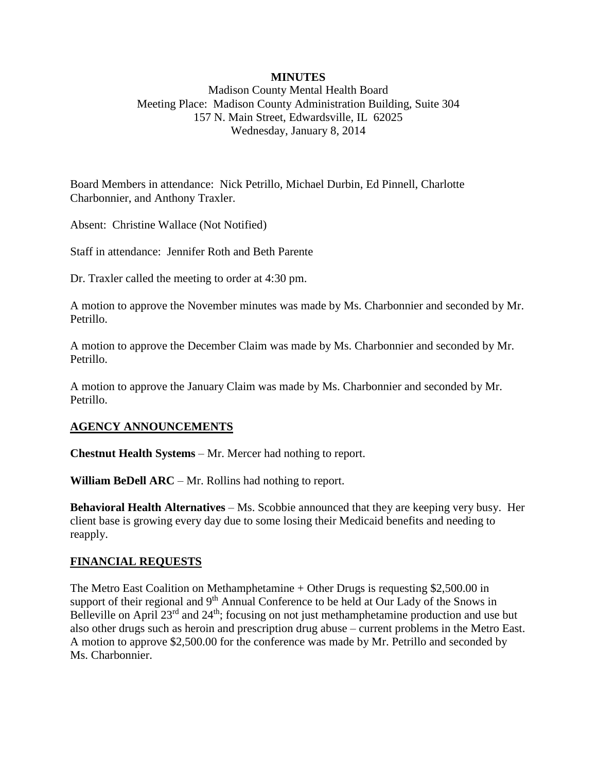## **MINUTES**

Madison County Mental Health Board Meeting Place: Madison County Administration Building, Suite 304 157 N. Main Street, Edwardsville, IL 62025 Wednesday, January 8, 2014

Board Members in attendance: Nick Petrillo, Michael Durbin, Ed Pinnell, Charlotte Charbonnier, and Anthony Traxler.

Absent: Christine Wallace (Not Notified)

Staff in attendance: Jennifer Roth and Beth Parente

Dr. Traxler called the meeting to order at 4:30 pm.

A motion to approve the November minutes was made by Ms. Charbonnier and seconded by Mr. Petrillo.

A motion to approve the December Claim was made by Ms. Charbonnier and seconded by Mr. Petrillo.

A motion to approve the January Claim was made by Ms. Charbonnier and seconded by Mr. Petrillo.

## **AGENCY ANNOUNCEMENTS**

**Chestnut Health Systems** – Mr. Mercer had nothing to report.

**William BeDell ARC** – Mr. Rollins had nothing to report.

**Behavioral Health Alternatives** – Ms. Scobbie announced that they are keeping very busy. Her client base is growing every day due to some losing their Medicaid benefits and needing to reapply.

#### **FINANCIAL REQUESTS**

The Metro East Coalition on Methamphetamine + Other Drugs is requesting \$2,500.00 in support of their regional and 9<sup>th</sup> Annual Conference to be held at Our Lady of the Snows in Belleville on April 23<sup>rd</sup> and 24<sup>th</sup>; focusing on not just methamphetamine production and use but also other drugs such as heroin and prescription drug abuse – current problems in the Metro East. A motion to approve \$2,500.00 for the conference was made by Mr. Petrillo and seconded by Ms. Charbonnier.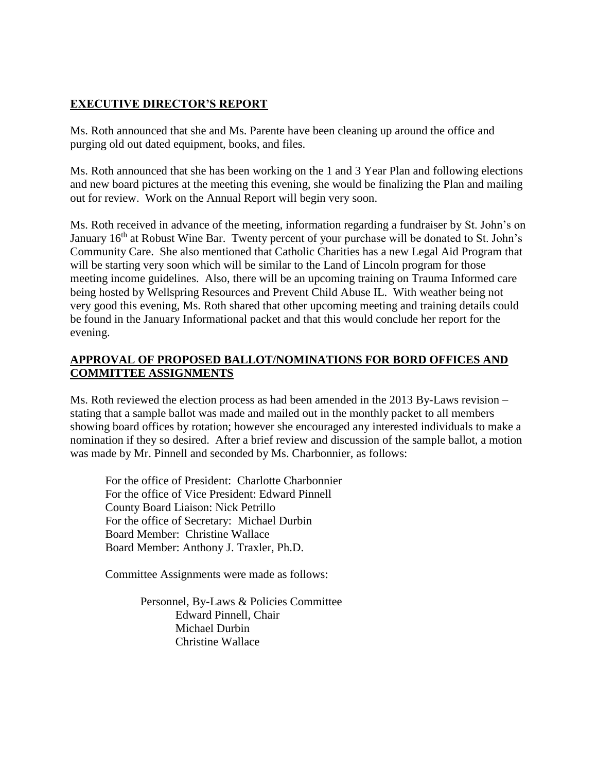# **EXECUTIVE DIRECTOR'S REPORT**

Ms. Roth announced that she and Ms. Parente have been cleaning up around the office and purging old out dated equipment, books, and files.

Ms. Roth announced that she has been working on the 1 and 3 Year Plan and following elections and new board pictures at the meeting this evening, she would be finalizing the Plan and mailing out for review. Work on the Annual Report will begin very soon.

Ms. Roth received in advance of the meeting, information regarding a fundraiser by St. John's on January 16<sup>th</sup> at Robust Wine Bar. Twenty percent of your purchase will be donated to St. John's Community Care. She also mentioned that Catholic Charities has a new Legal Aid Program that will be starting very soon which will be similar to the Land of Lincoln program for those meeting income guidelines. Also, there will be an upcoming training on Trauma Informed care being hosted by Wellspring Resources and Prevent Child Abuse IL. With weather being not very good this evening, Ms. Roth shared that other upcoming meeting and training details could be found in the January Informational packet and that this would conclude her report for the evening.

## **APPROVAL OF PROPOSED BALLOT/NOMINATIONS FOR BORD OFFICES AND COMMITTEE ASSIGNMENTS**

Ms. Roth reviewed the election process as had been amended in the 2013 By-Laws revision – stating that a sample ballot was made and mailed out in the monthly packet to all members showing board offices by rotation; however she encouraged any interested individuals to make a nomination if they so desired. After a brief review and discussion of the sample ballot, a motion was made by Mr. Pinnell and seconded by Ms. Charbonnier, as follows:

For the office of President: Charlotte Charbonnier For the office of Vice President: Edward Pinnell County Board Liaison: Nick Petrillo For the office of Secretary: Michael Durbin Board Member: Christine Wallace Board Member: Anthony J. Traxler, Ph.D.

Committee Assignments were made as follows:

Personnel, By-Laws & Policies Committee Edward Pinnell, Chair Michael Durbin Christine Wallace